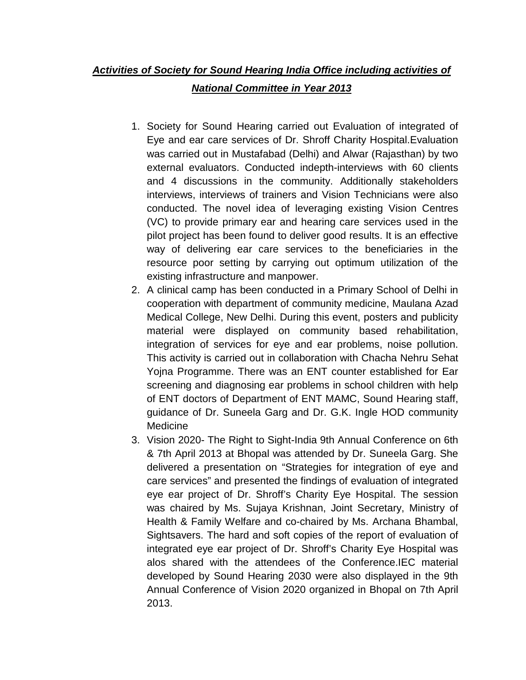## *Activities of Society for Sound Hearing India Office including activities of National Committee in Year 2013*

- 1. Society for Sound Hearing carried out Evaluation of integrated of Eye and ear care services of Dr. Shroff Charity Hospital.Evaluation was carried out in Mustafabad (Delhi) and Alwar (Rajasthan) by two external evaluators. Conducted indepth-interviews with 60 clients and 4 discussions in the community. Additionally stakeholders interviews, interviews of trainers and Vision Technicians were also conducted. The novel idea of leveraging existing Vision Centres (VC) to provide primary ear and hearing care services used in the pilot project has been found to deliver good results. It is an effective way of delivering ear care services to the beneficiaries in the resource poor setting by carrying out optimum utilization of the existing infrastructure and manpower.
- 2. A clinical camp has been conducted in a Primary School of Delhi in cooperation with department of community medicine, Maulana Azad Medical College, New Delhi. During this event, posters and publicity material were displayed on community based rehabilitation, integration of services for eye and ear problems, noise pollution. This activity is carried out in collaboration with Chacha Nehru Sehat Yojna Programme. There was an ENT counter established for Ear screening and diagnosing ear problems in school children with help of ENT doctors of Department of ENT MAMC, Sound Hearing staff, guidance of Dr. Suneela Garg and Dr. G.K. Ingle HOD community Medicine
- 3. Vision 2020- The Right to Sight-India 9th Annual Conference on 6th & 7th April 2013 at Bhopal was attended by Dr. Suneela Garg. She delivered a presentation on "Strategies for integration of eye and care services" and presented the findings of evaluation of integrated eye ear project of Dr. Shroff's Charity Eye Hospital. The session was chaired by Ms. Sujaya Krishnan, Joint Secretary, Ministry of Health & Family Welfare and co-chaired by Ms. Archana Bhambal, Sightsavers. The hard and soft copies of the report of evaluation of integrated eye ear project of Dr. Shroff's Charity Eye Hospital was alos shared with the attendees of the Conference.IEC material developed by Sound Hearing 2030 were also displayed in the 9th Annual Conference of Vision 2020 organized in Bhopal on 7th April 2013.